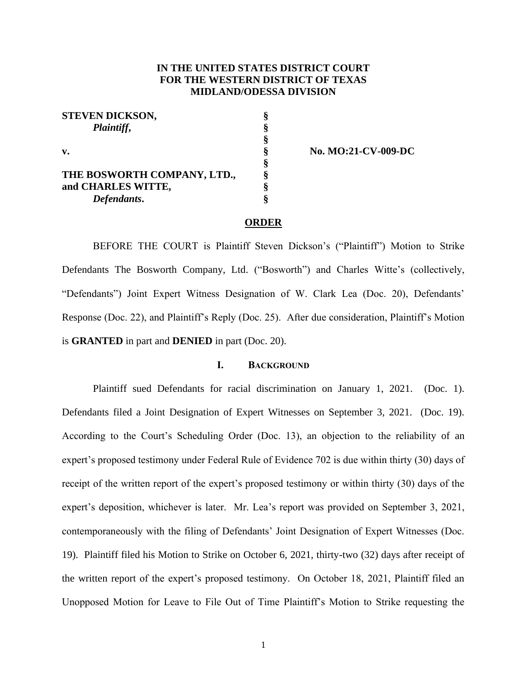## **IN THE UNITED STATES DISTRICT COURT FOR THE WESTERN DISTRICT OF TEXAS MIDLAND/ODESSA DIVISION**

| <b>STEVEN DICKSON,</b>      | ş |
|-----------------------------|---|
| Plaintiff,<br>v.            | ş |
|                             | § |
|                             | ş |
|                             | ş |
| THE BOSWORTH COMPANY, LTD., | ş |
| and CHARLES WITTE,          | ş |
| Defendants.                 | ş |

**v. § No. MO:21-CV-009-DC**

#### **ORDER**

BEFORE THE COURT is Plaintiff Steven Dickson's ("Plaintiff") Motion to Strike Defendants The Bosworth Company, Ltd. ("Bosworth") and Charles Witte's (collectively, "Defendants") Joint Expert Witness Designation of W. Clark Lea (Doc. 20), Defendants' Response (Doc. 22), and Plaintiff's Reply (Doc. 25). After due consideration, Plaintiff's Motion is **GRANTED** in part and **DENIED** in part (Doc. 20).

## **I. BACKGROUND**

Plaintiff sued Defendants for racial discrimination on January 1, 2021. (Doc. 1). Defendants filed a Joint Designation of Expert Witnesses on September 3, 2021. (Doc. 19). According to the Court's Scheduling Order (Doc. 13), an objection to the reliability of an expert's proposed testimony under Federal Rule of Evidence 702 is due within thirty (30) days of receipt of the written report of the expert's proposed testimony or within thirty (30) days of the expert's deposition, whichever is later. Mr. Lea's report was provided on September 3, 2021, contemporaneously with the filing of Defendants' Joint Designation of Expert Witnesses (Doc. 19). Plaintiff filed his Motion to Strike on October 6, 2021, thirty-two (32) days after receipt of the written report of the expert's proposed testimony. On October 18, 2021, Plaintiff filed an Unopposed Motion for Leave to File Out of Time Plaintiff's Motion to Strike requesting the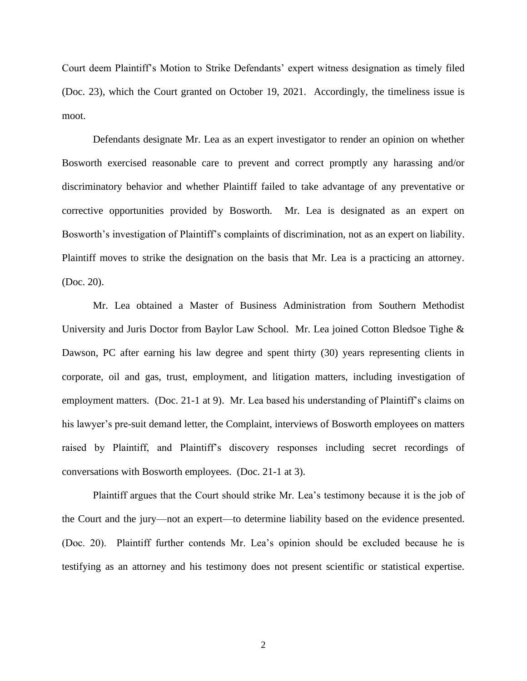Court deem Plaintiff's Motion to Strike Defendants' expert witness designation as timely filed (Doc. 23), which the Court granted on October 19, 2021. Accordingly, the timeliness issue is moot.

Defendants designate Mr. Lea as an expert investigator to render an opinion on whether Bosworth exercised reasonable care to prevent and correct promptly any harassing and/or discriminatory behavior and whether Plaintiff failed to take advantage of any preventative or corrective opportunities provided by Bosworth. Mr. Lea is designated as an expert on Bosworth's investigation of Plaintiff's complaints of discrimination, not as an expert on liability. Plaintiff moves to strike the designation on the basis that Mr. Lea is a practicing an attorney. (Doc. 20).

Mr. Lea obtained a Master of Business Administration from Southern Methodist University and Juris Doctor from Baylor Law School. Mr. Lea joined Cotton Bledsoe Tighe & Dawson, PC after earning his law degree and spent thirty (30) years representing clients in corporate, oil and gas, trust, employment, and litigation matters, including investigation of employment matters. (Doc. 21-1 at 9). Mr. Lea based his understanding of Plaintiff's claims on his lawyer's pre-suit demand letter, the Complaint, interviews of Bosworth employees on matters raised by Plaintiff, and Plaintiff's discovery responses including secret recordings of conversations with Bosworth employees. (Doc. 21-1 at 3).

Plaintiff argues that the Court should strike Mr. Lea's testimony because it is the job of the Court and the jury—not an expert—to determine liability based on the evidence presented. (Doc. 20). Plaintiff further contends Mr. Lea's opinion should be excluded because he is testifying as an attorney and his testimony does not present scientific or statistical expertise.

2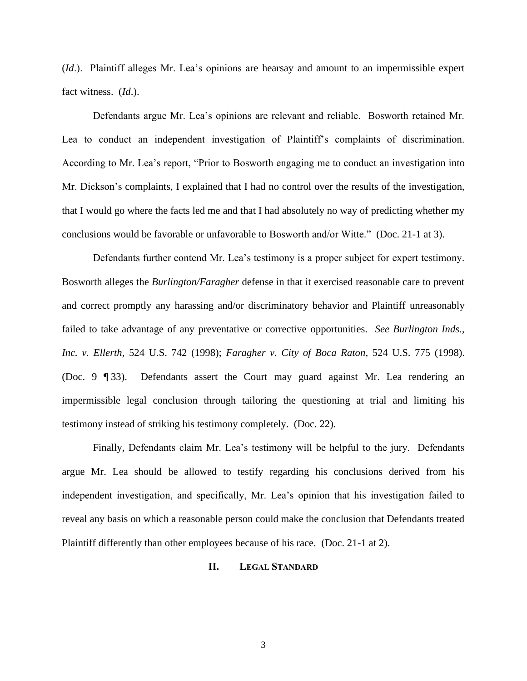(*Id*.). Plaintiff alleges Mr. Lea's opinions are hearsay and amount to an impermissible expert fact witness. (*Id*.).

Defendants argue Mr. Lea's opinions are relevant and reliable. Bosworth retained Mr. Lea to conduct an independent investigation of Plaintiff's complaints of discrimination. According to Mr. Lea's report, "Prior to Bosworth engaging me to conduct an investigation into Mr. Dickson's complaints, I explained that I had no control over the results of the investigation, that I would go where the facts led me and that I had absolutely no way of predicting whether my conclusions would be favorable or unfavorable to Bosworth and/or Witte." (Doc. 21-1 at 3).

Defendants further contend Mr. Lea's testimony is a proper subject for expert testimony. Bosworth alleges the *Burlington/Faragher* defense in that it exercised reasonable care to prevent and correct promptly any harassing and/or discriminatory behavior and Plaintiff unreasonably failed to take advantage of any preventative or corrective opportunities. *See Burlington Inds., Inc. v. Ellerth,* 524 U.S. 742 (1998); *Faragher v. City of Boca Raton*, 524 U.S. 775 (1998). (Doc. 9 ¶ 33). Defendants assert the Court may guard against Mr. Lea rendering an impermissible legal conclusion through tailoring the questioning at trial and limiting his testimony instead of striking his testimony completely. (Doc. 22).

Finally, Defendants claim Mr. Lea's testimony will be helpful to the jury. Defendants argue Mr. Lea should be allowed to testify regarding his conclusions derived from his independent investigation, and specifically, Mr. Lea's opinion that his investigation failed to reveal any basis on which a reasonable person could make the conclusion that Defendants treated Plaintiff differently than other employees because of his race. (Doc. 21-1 at 2).

### **II. LEGAL STANDARD**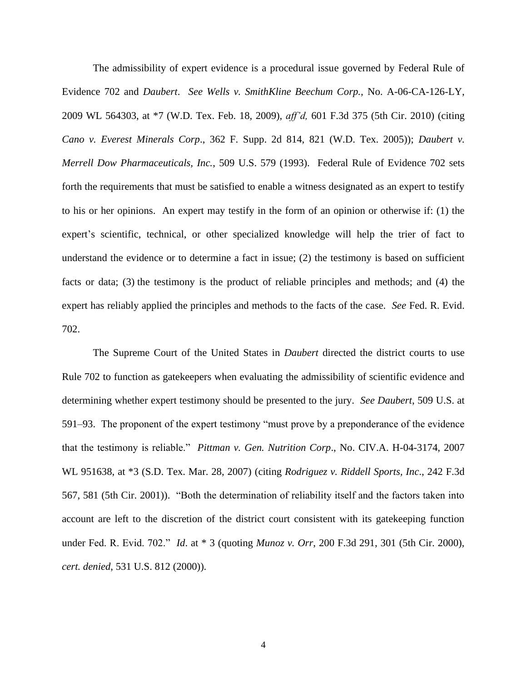The admissibility of expert evidence is a procedural issue governed by Federal Rule of Evidence 702 and *Daubert*. *See Wells v. SmithKline Beechum Corp.,* No. A-06-CA-126-LY, 2009 WL 564303, at \*7 (W.D. Tex. Feb. 18, 2009), *aff'd,* 601 F.3d 375 (5th Cir. 2010) (citing *Cano v. Everest Minerals Corp*., 362 F. Supp. 2d 814, 821 (W.D. Tex. 2005)); *Daubert v. Merrell Dow Pharmaceuticals, Inc.*, 509 U.S. 579 (1993). Federal Rule of Evidence 702 sets forth the requirements that must be satisfied to enable a witness designated as an expert to testify to his or her opinions. An expert may testify in the form of an opinion or otherwise if: (1) the expert's scientific, technical, or other specialized knowledge will help the trier of fact to understand the evidence or to determine a fact in issue; (2) the testimony is based on sufficient facts or data; (3) the testimony is the product of reliable principles and methods; and (4) the expert has reliably applied the principles and methods to the facts of the case. *See* Fed. R. Evid. 702.

The Supreme Court of the United States in *Daubert* directed the district courts to use Rule 702 to function as gatekeepers when evaluating the admissibility of scientific evidence and determining whether expert testimony should be presented to the jury. *See Daubert*, 509 U.S. at 591–93. The proponent of the expert testimony "must prove by a preponderance of the evidence that the testimony is reliable." *Pittman v. Gen. Nutrition Corp*., No. CIV.A. H-04-3174, 2007 WL 951638, at \*3 (S.D. Tex. Mar. 28, 2007) (citing *Rodriguez v. Riddell Sports, Inc*., 242 F.3d 567, 581 (5th Cir. 2001)). "Both the determination of reliability itself and the factors taken into account are left to the discretion of the district court consistent with its gatekeeping function under Fed. R. Evid. 702." *Id*. at \* 3 (quoting *Munoz v. Orr*, 200 F.3d 291, 301 (5th Cir. 2000), *cert. denied*, 531 U.S. 812 (2000)).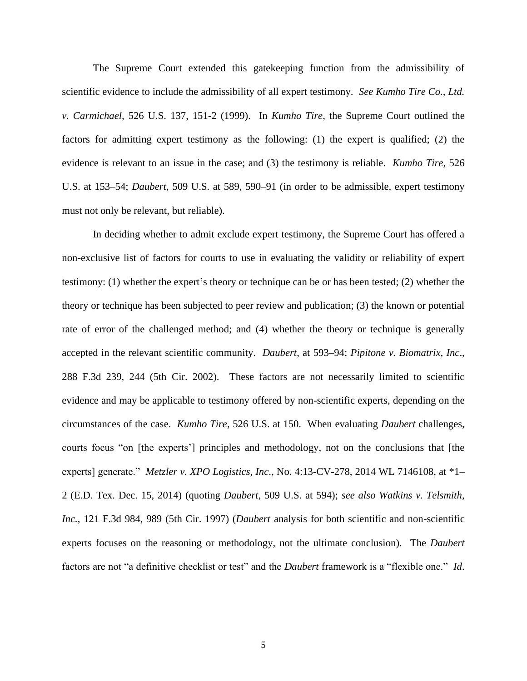The Supreme Court extended this gatekeeping function from the admissibility of scientific evidence to include the admissibility of all expert testimony. *See Kumho Tire Co., Ltd. v. Carmichael,* 526 U.S. 137, 151-2 (1999). In *Kumho Tire*, the Supreme Court outlined the factors for admitting expert testimony as the following: (1) the expert is qualified; (2) the evidence is relevant to an issue in the case; and (3) the testimony is reliable. *Kumho Tire,* 526 U.S. at 153–54; *Daubert*, 509 U.S. at 589, 590–91 (in order to be admissible, expert testimony must not only be relevant, but reliable).

In deciding whether to admit exclude expert testimony, the Supreme Court has offered a non-exclusive list of factors for courts to use in evaluating the validity or reliability of expert testimony: (1) whether the expert's theory or technique can be or has been tested; (2) whether the theory or technique has been subjected to peer review and publication; (3) the known or potential rate of error of the challenged method; and (4) whether the theory or technique is generally accepted in the relevant scientific community. *Daubert*, at 593–94; *Pipitone v. Biomatrix, Inc*., 288 F.3d 239, 244 (5th Cir. 2002). These factors are not necessarily limited to scientific evidence and may be applicable to testimony offered by non-scientific experts, depending on the circumstances of the case. *Kumho Tire,* 526 U.S. at 150. When evaluating *Daubert* challenges, courts focus "on [the experts'] principles and methodology, not on the conclusions that [the experts] generate." *Metzler v. XPO Logistics, Inc*., No. 4:13-CV-278, 2014 WL 7146108, at \*1– 2 (E.D. Tex. Dec. 15, 2014) (quoting *Daubert*, 509 U.S. at 594); *see also Watkins v. Telsmith, Inc.*, 121 F.3d 984, 989 (5th Cir. 1997) (*Daubert* analysis for both scientific and non-scientific experts focuses on the reasoning or methodology, not the ultimate conclusion). The *Daubert* factors are not "a definitive checklist or test" and the *Daubert* framework is a "flexible one." *Id*.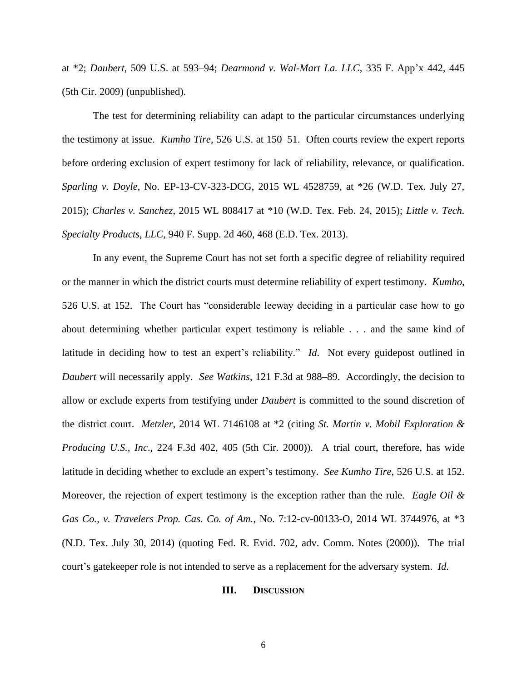at \*2; *Daubert*, 509 U.S. at 593–94; *Dearmond v. Wal-Mart La. LLC*, 335 F. App'x 442, 445 (5th Cir. 2009) (unpublished).

The test for determining reliability can adapt to the particular circumstances underlying the testimony at issue. *Kumho Tire,* 526 U.S. at 150–51. Often courts review the expert reports before ordering exclusion of expert testimony for lack of reliability, relevance, or qualification*. Sparling v. Doyle*, No. EP-13-CV-323-DCG, 2015 WL 4528759, at \*26 (W.D. Tex. July 27, 2015); *Charles v. Sanchez*, 2015 WL 808417 at \*10 (W.D. Tex. Feb. 24, 2015); *Little v. Tech. Specialty Products, LLC*, 940 F. Supp. 2d 460, 468 (E.D. Tex. 2013).

In any event, the Supreme Court has not set forth a specific degree of reliability required or the manner in which the district courts must determine reliability of expert testimony. *Kumho*, 526 U.S. at 152. The Court has "considerable leeway deciding in a particular case how to go about determining whether particular expert testimony is reliable . . . and the same kind of latitude in deciding how to test an expert's reliability." *Id*. Not every guidepost outlined in *Daubert* will necessarily apply. *See Watkins*, 121 F.3d at 988–89. Accordingly, the decision to allow or exclude experts from testifying under *Daubert* is committed to the sound discretion of the district court. *Metzler*, 2014 WL 7146108 at \*2 (citing *St. Martin v. Mobil Exploration & Producing U.S., Inc*., 224 F.3d 402, 405 (5th Cir. 2000)). A trial court, therefore, has wide latitude in deciding whether to exclude an expert's testimony. *See Kumho Tire*, 526 U.S. at 152. Moreover, the rejection of expert testimony is the exception rather than the rule. *Eagle Oil & Gas Co., v. Travelers Prop. Cas. Co. of Am.*, No. 7:12-cv-00133-O, 2014 WL 3744976, at \*3 (N.D. Tex. July 30, 2014) (quoting Fed. R. Evid. 702, adv. Comm. Notes (2000)). The trial court's gatekeeper role is not intended to serve as a replacement for the adversary system. *Id*.

#### **III. DISCUSSION**

6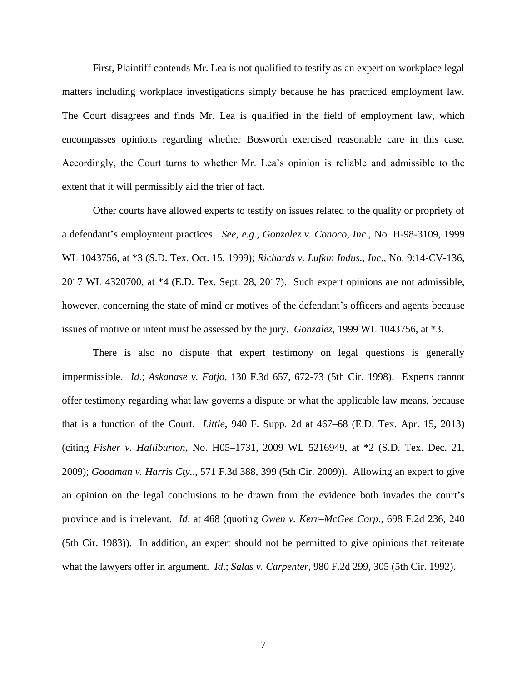First, Plaintiff contends Mr. Lea is not qualified to testify as an expert on workplace legal matters including workplace investigations simply because he has practiced employment law. The Court disagrees and finds Mr. Lea is qualified in the field of employment law, which encompasses opinions regarding whether Bosworth exercised reasonable care in this case. Accordingly, the Court turns to whether Mr. Lea's opinion is reliable and admissible to the extent that it will permissibly aid the trier of fact.

Other courts have allowed experts to testify on issues related to the quality or propriety of a defendant's employment practices. *See, e.g., Gonzalez v. Conoco, Inc.,* No. H-98-3109, 1999 WL 1043756, at \*3 (S.D. Tex. Oct. 15, 1999); *Richards v. Lufkin Indus., Inc*., No. 9:14-CV-136, 2017 WL 4320700, at \*4 (E.D. Tex. Sept. 28, 2017). Such expert opinions are not admissible, however, concerning the state of mind or motives of the defendant's officers and agents because issues of motive or intent must be assessed by the jury. *Gonzalez*, 1999 WL 1043756, at \*3.

There is also no dispute that expert testimony on legal questions is generally impermissible. *Id*.; *Askanase v. Fatjo*, 130 F.3d 657, 672-73 (5th Cir. 1998). Experts cannot offer testimony regarding what law governs a dispute or what the applicable law means, because that is a function of the Court. *Little*, 940 F. Supp. 2d at 467–68 (E.D. Tex. Apr. 15, 2013) (citing *Fisher v. Halliburton*, No. H05–1731, 2009 WL 5216949, at \*2 (S.D. Tex. Dec. 21, 2009); *Goodman v. Harris Cty.*., 571 F.3d 388, 399 (5th Cir. 2009)). Allowing an expert to give an opinion on the legal conclusions to be drawn from the evidence both invades the court's province and is irrelevant. *Id*. at 468 (quoting *Owen v. Kerr–McGee Corp*., 698 F.2d 236, 240 (5th Cir. 1983)). In addition, an expert should not be permitted to give opinions that reiterate what the lawyers offer in argument. *Id*.; *Salas v. Carpenter*, 980 F.2d 299, 305 (5th Cir. 1992).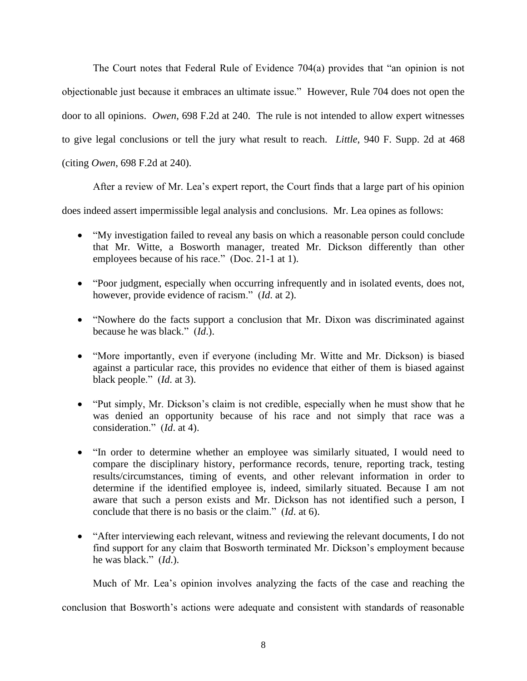The Court notes that Federal Rule of Evidence 704(a) provides that "an opinion is not objectionable just because it embraces an ultimate issue." However, Rule 704 does not open the door to all opinions. *Owen*, 698 F.2d at 240. The rule is not intended to allow expert witnesses to give legal conclusions or tell the jury what result to reach. *Little*, 940 F. Supp. 2d at 468 (citing *Owen*, 698 F.2d at 240).

After a review of Mr. Lea's expert report, the Court finds that a large part of his opinion

does indeed assert impermissible legal analysis and conclusions. Mr. Lea opines as follows:

- "My investigation failed to reveal any basis on which a reasonable person could conclude that Mr. Witte, a Bosworth manager, treated Mr. Dickson differently than other employees because of his race." (Doc. 21-1 at 1).
- "Poor judgment, especially when occurring infrequently and in isolated events, does not, however, provide evidence of racism." (*Id*. at 2).
- "Nowhere do the facts support a conclusion that Mr. Dixon was discriminated against because he was black." (*Id*.).
- "More importantly, even if everyone (including Mr. Witte and Mr. Dickson) is biased against a particular race, this provides no evidence that either of them is biased against black people." (*Id*. at 3).
- "Put simply, Mr. Dickson's claim is not credible, especially when he must show that he was denied an opportunity because of his race and not simply that race was a consideration." (*Id*. at 4).
- "In order to determine whether an employee was similarly situated, I would need to compare the disciplinary history, performance records, tenure, reporting track, testing results/circumstances, timing of events, and other relevant information in order to determine if the identified employee is, indeed, similarly situated. Because I am not aware that such a person exists and Mr. Dickson has not identified such a person, I conclude that there is no basis or the claim." (*Id*. at 6).
- "After interviewing each relevant, witness and reviewing the relevant documents, I do not find support for any claim that Bosworth terminated Mr. Dickson's employment because he was black." (*Id*.).

Much of Mr. Lea's opinion involves analyzing the facts of the case and reaching the

conclusion that Bosworth's actions were adequate and consistent with standards of reasonable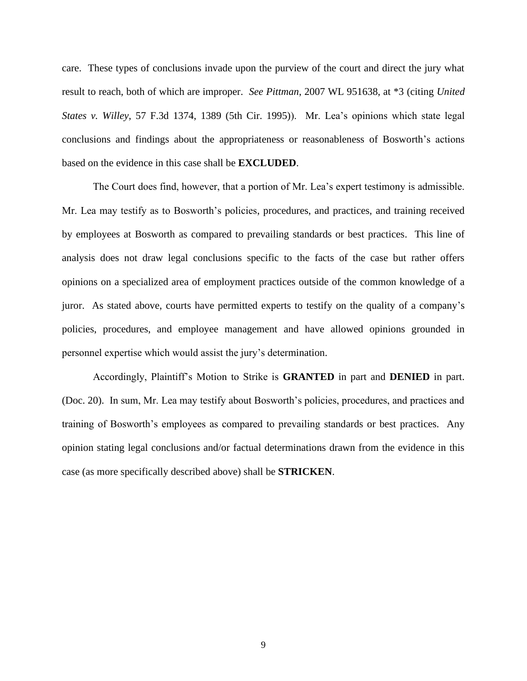care. These types of conclusions invade upon the purview of the court and direct the jury what result to reach, both of which are improper. *See Pittman*, 2007 WL 951638, at \*3 (citing *United States v. Willey*, 57 F.3d 1374, 1389 (5th Cir. 1995)). Mr. Lea's opinions which state legal conclusions and findings about the appropriateness or reasonableness of Bosworth's actions based on the evidence in this case shall be **EXCLUDED**.

The Court does find, however, that a portion of Mr. Lea's expert testimony is admissible. Mr. Lea may testify as to Bosworth's policies, procedures, and practices, and training received by employees at Bosworth as compared to prevailing standards or best practices. This line of analysis does not draw legal conclusions specific to the facts of the case but rather offers opinions on a specialized area of employment practices outside of the common knowledge of a juror. As stated above, courts have permitted experts to testify on the quality of a company's policies, procedures, and employee management and have allowed opinions grounded in personnel expertise which would assist the jury's determination.

Accordingly, Plaintiff's Motion to Strike is **GRANTED** in part and **DENIED** in part. (Doc. 20). In sum, Mr. Lea may testify about Bosworth's policies, procedures, and practices and training of Bosworth's employees as compared to prevailing standards or best practices. Any opinion stating legal conclusions and/or factual determinations drawn from the evidence in this case (as more specifically described above) shall be **STRICKEN**.